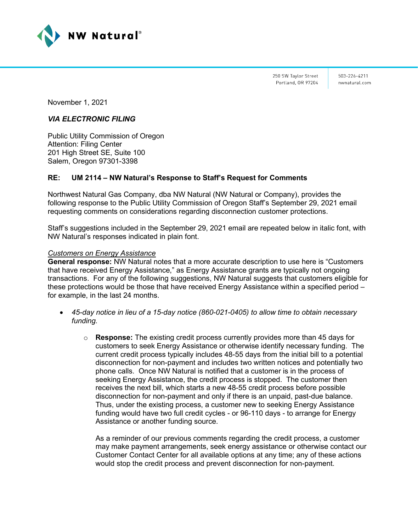

250 SW Taylor Street Portland, OR 97204

503-226-4211 nwnatural.com

November 1, 2021

# *VIA ELECTRONIC FILING*

Public Utility Commission of Oregon Attention: Filing Center 201 High Street SE, Suite 100 Salem, Oregon 97301-3398

# **RE: UM 2114 – NW Natural's Response to Staff's Request for Comments**

Northwest Natural Gas Company, dba NW Natural (NW Natural or Company), provides the following response to the Public Utility Commission of Oregon Staff's September 29, 2021 email requesting comments on considerations regarding disconnection customer protections.

Staff's suggestions included in the September 29, 2021 email are repeated below in italic font, with NW Natural's responses indicated in plain font.

### *Customers on Energy Assistance*

**General response:** NW Natural notes that a more accurate description to use here is "Customers that have received Energy Assistance," as Energy Assistance grants are typically not ongoing transactions. For any of the following suggestions, NW Natural suggests that customers eligible for these protections would be those that have received Energy Assistance within a specified period – for example, in the last 24 months.

- *45-day notice in lieu of a 15-day notice (860-021-0405) to allow time to obtain necessary funding.*
	- o **Response:** The existing credit process currently provides more than 45 days for customers to seek Energy Assistance or otherwise identify necessary funding. The current credit process typically includes 48-55 days from the initial bill to a potential disconnection for non-payment and includes two written notices and potentially two phone calls. Once NW Natural is notified that a customer is in the process of seeking Energy Assistance, the credit process is stopped. The customer then receives the next bill, which starts a new 48-55 credit process before possible disconnection for non-payment and only if there is an unpaid, past-due balance. Thus, under the existing process, a customer new to seeking Energy Assistance funding would have two full credit cycles - or 96-110 days - to arrange for Energy Assistance or another funding source.

As a reminder of our previous comments regarding the credit process, a customer may make payment arrangements, seek energy assistance or otherwise contact our Customer Contact Center for all available options at any time; any of these actions would stop the credit process and prevent disconnection for non-payment.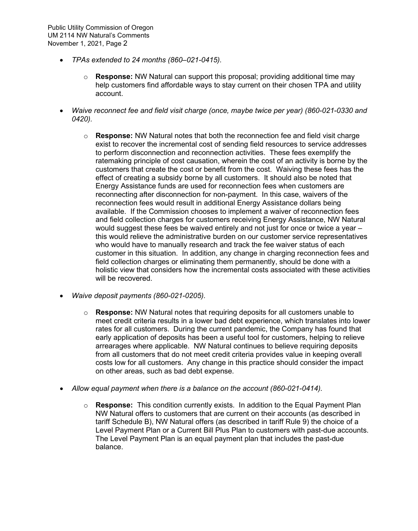- *TPAs extended to 24 months (860–021-0415).* 
	- o **Response:** NW Natural can support this proposal; providing additional time may help customers find affordable ways to stay current on their chosen TPA and utility account.
- *Waive reconnect fee and field visit charge (once, maybe twice per year) (860-021-0330 and 0420).* 
	- o **Response:** NW Natural notes that both the reconnection fee and field visit charge exist to recover the incremental cost of sending field resources to service addresses to perform disconnection and reconnection activities. These fees exemplify the ratemaking principle of cost causation, wherein the cost of an activity is borne by the customers that create the cost or benefit from the cost. Waiving these fees has the effect of creating a subsidy borne by all customers. It should also be noted that Energy Assistance funds are used for reconnection fees when customers are reconnecting after disconnection for non-payment. In this case, waivers of the reconnection fees would result in additional Energy Assistance dollars being available. If the Commission chooses to implement a waiver of reconnection fees and field collection charges for customers receiving Energy Assistance, NW Natural would suggest these fees be waived entirely and not just for once or twice a year – this would relieve the administrative burden on our customer service representatives who would have to manually research and track the fee waiver status of each customer in this situation. In addition, any change in charging reconnection fees and field collection charges or eliminating them permanently, should be done with a holistic view that considers how the incremental costs associated with these activities will be recovered.
- *Waive deposit payments (860-021-0205).*
	- o **Response:** NW Natural notes that requiring deposits for all customers unable to meet credit criteria results in a lower bad debt experience, which translates into lower rates for all customers. During the current pandemic, the Company has found that early application of deposits has been a useful tool for customers, helping to relieve arrearages where applicable. NW Natural continues to believe requiring deposits from all customers that do not meet credit criteria provides value in keeping overall costs low for all customers. Any change in this practice should consider the impact on other areas, such as bad debt expense.
- *Allow equal payment when there is a balance on the account (860-021-0414).* 
	- o **Response:** This condition currently exists. In addition to the Equal Payment Plan NW Natural offers to customers that are current on their accounts (as described in tariff Schedule B), NW Natural offers (as described in tariff Rule 9) the choice of a Level Payment Plan or a Current Bill Plus Plan to customers with past-due accounts. The Level Payment Plan is an equal payment plan that includes the past-due balance.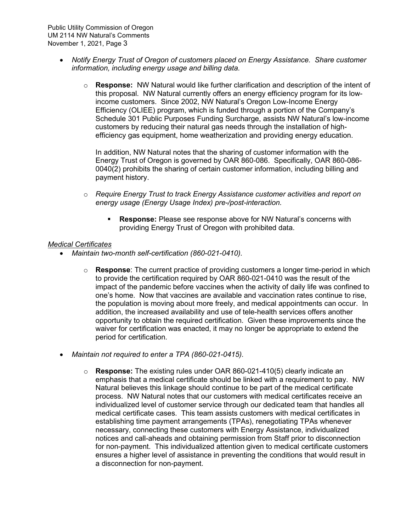- *Notify Energy Trust of Oregon of customers placed on Energy Assistance. Share customer information, including energy usage and billing data.* 
	- o **Response:** NW Natural would like further clarification and description of the intent of this proposal. NW Natural currently offers an energy efficiency program for its lowincome customers. Since 2002, NW Natural's Oregon Low-Income Energy Efficiency (OLIEE) program, which is funded through a portion of the Company's Schedule 301 Public Purposes Funding Surcharge, assists NW Natural's low-income customers by reducing their natural gas needs through the installation of highefficiency gas equipment, home weatherization and providing energy education.

In addition, NW Natural notes that the sharing of customer information with the Energy Trust of Oregon is governed by OAR 860-086. Specifically, OAR 860-086- 0040(2) prohibits the sharing of certain customer information, including billing and payment history.

- o *Require Energy Trust to track Energy Assistance customer activities and report on energy usage (Energy Usage Index) pre-/post-interaction.*
	- **Response:** Please see response above for NW Natural's concerns with providing Energy Trust of Oregon with prohibited data.

### *Medical Certificates*

- *Maintain two-month self-certification (860-021-0410).* 
	- o **Response**: The current practice of providing customers a longer time-period in which to provide the certification required by OAR 860-021-0410 was the result of the impact of the pandemic before vaccines when the activity of daily life was confined to one's home. Now that vaccines are available and vaccination rates continue to rise, the population is moving about more freely, and medical appointments can occur. In addition, the increased availability and use of tele-health services offers another opportunity to obtain the required certification. Given these improvements since the waiver for certification was enacted, it may no longer be appropriate to extend the period for certification.
- *Maintain not required to enter a TPA (860-021-0415).* 
	- o **Response:** The existing rules under OAR 860-021-410(5) clearly indicate an emphasis that a medical certificate should be linked with a requirement to pay. NW Natural believes this linkage should continue to be part of the medical certificate process. NW Natural notes that our customers with medical certificates receive an individualized level of customer service through our dedicated team that handles all medical certificate cases. This team assists customers with medical certificates in establishing time payment arrangements (TPAs), renegotiating TPAs whenever necessary, connecting these customers with Energy Assistance, individualized notices and call-aheads and obtaining permission from Staff prior to disconnection for non-payment. This individualized attention given to medical certificate customers ensures a higher level of assistance in preventing the conditions that would result in a disconnection for non-payment.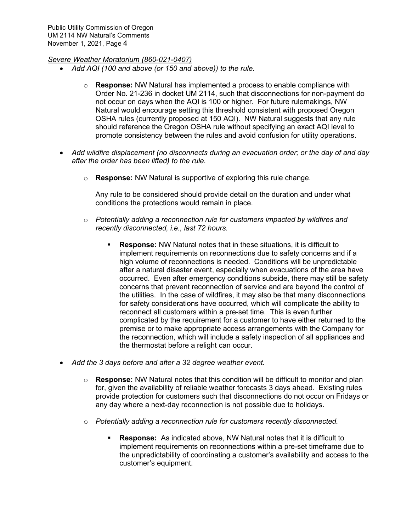## *Severe Weather Moratorium (860-021-0407)*

- *Add AQI (100 and above (or 150 and above)) to the rule.* 
	- o **Response:** NW Natural has implemented a process to enable compliance with Order No. 21-236 in docket UM 2114, such that disconnections for non-payment do not occur on days when the AQI is 100 or higher. For future rulemakings, NW Natural would encourage setting this threshold consistent with proposed Oregon OSHA rules (currently proposed at 150 AQI). NW Natural suggests that any rule should reference the Oregon OSHA rule without specifying an exact AQI level to promote consistency between the rules and avoid confusion for utility operations.
- *Add wildfire displacement (no disconnects during an evacuation order; or the day of and day after the order has been lifted) to the rule.* 
	- o **Response:** NW Natural is supportive of exploring this rule change.

Any rule to be considered should provide detail on the duration and under what conditions the protections would remain in place.

- o *Potentially adding a reconnection rule for customers impacted by wildfires and recently disconnected, i.e., last 72 hours.* 
	- **Response:** NW Natural notes that in these situations, it is difficult to implement requirements on reconnections due to safety concerns and if a high volume of reconnections is needed. Conditions will be unpredictable after a natural disaster event, especially when evacuations of the area have occurred. Even after emergency conditions subside, there may still be safety concerns that prevent reconnection of service and are beyond the control of the utilities. In the case of wildfires, it may also be that many disconnections for safety considerations have occurred, which will complicate the ability to reconnect all customers within a pre-set time. This is even further complicated by the requirement for a customer to have either returned to the premise or to make appropriate access arrangements with the Company for the reconnection, which will include a safety inspection of all appliances and the thermostat before a relight can occur.
- *Add the 3 days before and after a 32 degree weather event.* 
	- o **Response:** NW Natural notes that this condition will be difficult to monitor and plan for, given the availability of reliable weather forecasts 3 days ahead. Existing rules provide protection for customers such that disconnections do not occur on Fridays or any day where a next-day reconnection is not possible due to holidays.
	- o *Potentially adding a reconnection rule for customers recently disconnected.*
		- **Response:** As indicated above, NW Natural notes that it is difficult to implement requirements on reconnections within a pre-set timeframe due to the unpredictability of coordinating a customer's availability and access to the customer's equipment.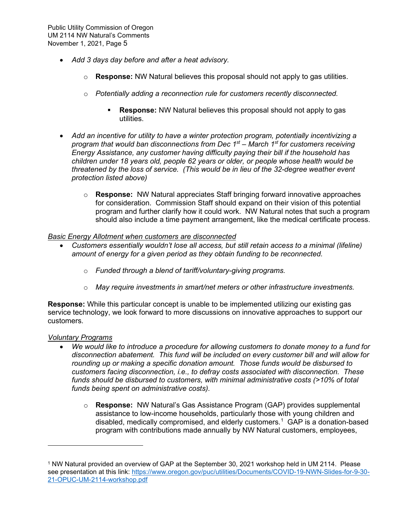- *Add 3 days day before and after a heat advisory.*
	- o **Response:** NW Natural believes this proposal should not apply to gas utilities.
	- o *Potentially adding a reconnection rule for customers recently disconnected.*
		- **Response:** NW Natural believes this proposal should not apply to gas utilities.
- *Add an incentive for utility to have a winter protection program, potentially incentivizing a program that would ban disconnections from Dec 1st – March 1st for customers receiving Energy Assistance, any customer having difficulty paying their bill if the household has children under 18 years old, people 62 years or older, or people whose health would be threatened by the loss of service. (This would be in lieu of the 32-degree weather event protection listed above)* 
	- o **Response:** NW Natural appreciates Staff bringing forward innovative approaches for consideration. Commission Staff should expand on their vision of this potential program and further clarify how it could work. NW Natural notes that such a program should also include a time payment arrangement, like the medical certificate process.

### *Basic Energy Allotment when customers are disconnected*

- *Customers essentially wouldn't lose all access, but still retain access to a minimal (lifeline) amount of energy for a given period as they obtain funding to be reconnected.*
	- o *Funded through a blend of tariff/voluntary-giving programs.*
	- o *May require investments in smart/net meters or other infrastructure investments.*

**Response:** While this particular concept is unable to be implemented utilizing our existing gas service technology, we look forward to more discussions on innovative approaches to support our customers.

### *Voluntary Programs*

- *We would like to introduce a procedure for allowing customers to donate money to a fund for disconnection abatement. This fund will be included on every customer bill and will allow for rounding up or making a specific donation amount. Those funds would be disbursed to customers facing disconnection, i.e., to defray costs associated with disconnection. These funds should be disbursed to customers, with minimal administrative costs (>10% of total funds being spent on administrative costs).*
	- o **Response:** NW Natural's Gas Assistance Program (GAP) provides supplemental assistance to low-income households, particularly those with young children and disabled, medically compromised, and elderly customers.<sup>[1](#page-4-0)</sup> GAP is a donation-based program with contributions made annually by NW Natural customers, employees,

<span id="page-4-0"></span><sup>1</sup> NW Natural provided an overview of GAP at the September 30, 2021 workshop held in UM 2114. Please see presentation at this link: [https://www.oregon.gov/puc/utilities/Documents/COVID-19-NWN-Slides-for-9-30-](https://www.oregon.gov/puc/utilities/Documents/COVID-19-NWN-Slides-for-9-30-21-OPUC-UM-2114-workshop.pdf) [21-OPUC-UM-2114-workshop.pdf](https://www.oregon.gov/puc/utilities/Documents/COVID-19-NWN-Slides-for-9-30-21-OPUC-UM-2114-workshop.pdf)